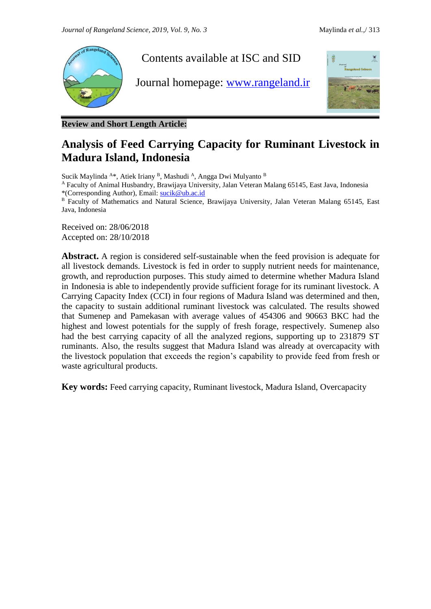

**Review and Short Length Article:**

# **Analysis of Feed Carrying Capacity for Ruminant Livestock in Madura Island, Indonesia**

Sucik Maylinda <sup>A\*</sup>, Atiek Iriany <sup>B</sup>, Mashudi <sup>A</sup>, Angga Dwi Mulyanto <sup>B</sup>

<sup>A</sup> Faculty of Animal Husbandry, Brawijaya University, Jalan Veteran Malang 65145, East Java, Indonesia \*(Corresponding Author), Email: [sucik@ub.ac.id](javascript:openWin()

B Faculty of Mathematics and Natural Science, Brawijaya University, Jalan Veteran Malang 65145, East Java, Indonesia

Received on: 28/06/2018 Accepted on: 28/10/2018

**Abstract.** A region is considered self-sustainable when the feed provision is adequate for all livestock demands. Livestock is fed in order to supply nutrient needs for maintenance, growth, and reproduction purposes. This study aimed to determine whether Madura Island in Indonesia is able to independently provide sufficient forage for its ruminant livestock. A Carrying Capacity Index (CCI) in four regions of Madura Island was determined and then, the capacity to sustain additional ruminant livestock was calculated. The results showed that Sumenep and Pamekasan with average values of 454306 and 90663 BKC had the highest and lowest potentials for the supply of fresh forage, respectively. Sumenep also had the best carrying capacity of all the analyzed regions, supporting up to 231879 ST ruminants. Also, the results suggest that Madura Island was already at overcapacity with the livestock population that exceeds the region's capability to provide feed from fresh or waste agricultural products.

**Key words:** Feed carrying capacity, Ruminant livestock, Madura Island, Overcapacity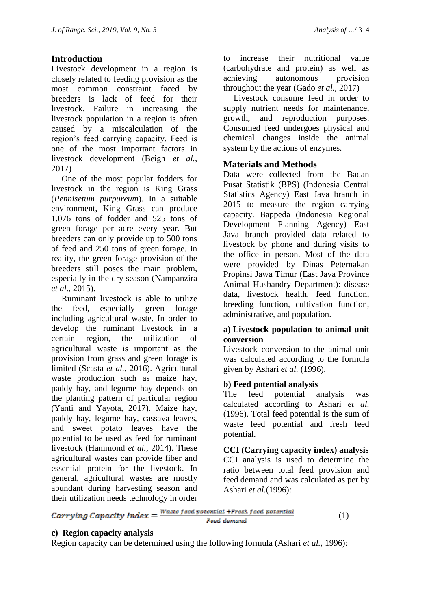# **Introduction**

Livestock development in a region is closely related to feeding provision as the most common constraint faced by breeders is lack of feed for their livestock. Failure in increasing the livestock population in a region is often caused by a miscalculation of the region's feed carrying capacity. Feed is one of the most important factors in livestock development (Beigh *et al.*, 2017)

One of the most popular fodders for livestock in the region is King Grass (*Pennisetum purpureum*). In a suitable environment, King Grass can produce 1.076 tons of fodder and 525 tons of green forage per acre every year. But breeders can only provide up to 500 tons of feed and 250 tons of green forage. In reality, the green forage provision of the breeders still poses the main problem, especially in the dry season (Nampanzira *et al.*, 2015).

Ruminant livestock is able to utilize the feed, especially green forage including agricultural waste. In order to develop the ruminant livestock in a certain region, the utilization of agricultural waste is important as the provision from grass and green forage is limited (Scasta *et al.*, 2016). Agricultural waste production such as maize hay, paddy hay, and legume hay depends on the planting pattern of particular region (Yanti and Yayota, 2017). Maize hay, paddy hay, legume hay, cassava leaves, and sweet potato leaves have the potential to be used as feed for ruminant livestock (Hammond *et al.*, 2014). These agricultural wastes can provide fiber and essential protein for the livestock. In general, agricultural wastes are mostly abundant during harvesting season and to increase their nutritional value (carbohydrate and protein) as well as achieving autonomous provision throughout the year (Gado *et al.*, 2017)

Livestock consume feed in order to supply nutrient needs for maintenance, growth, and reproduction purposes. Consumed feed undergoes physical and chemical changes inside the animal system by the actions of enzymes.

## **Materials and Methods**

Data were collected from the Badan Pusat Statistik (BPS) (Indonesia Central Statistics Agency) East Java branch in 2015 to measure the region carrying capacity. Bappeda (Indonesia Regional Development Planning Agency) East Java branch provided data related to livestock by phone and during visits to the office in person. Most of the data were provided by Dinas Peternakan Propinsi Jawa Timur (East Java Province Animal Husbandry Department): disease data, livestock health, feed function, breeding function, cultivation function, administrative, and population.

#### **a) Livestock population to animal unit conversion**

Livestock conversion to the animal unit was calculated according to the formula given by Ashari *et al.* (1996).

# **b) Feed potential analysis**

The feed potential analysis was calculated according to Ashari *et al.* (1996). Total feed potential is the sum of waste feed potential and fresh feed potential.

**CCI (Carrying capacity index) analysis** CCI analysis is used to determine the ratio between total feed provision and feed demand and was calculated as per by Ashari *et al.*(1996):

their utilization needs technology in order<br>  $Carrying Capacity Index = \frac{Waste feed potential + Fresh feed potential}$ Feed demand

(1)

## **c) Region capacity analysis**

Region capacity can be determined using the following formula (Ashari *et al.*, 1996):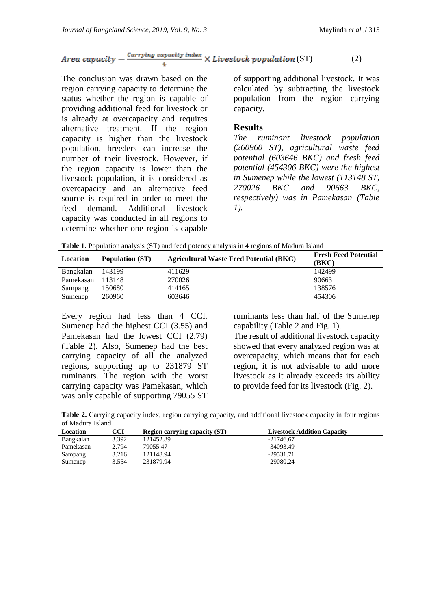# *Area capacity* =  $\frac{Carrying capacity index}{\text{ }x \times \text{ }Livestock population(ST)}$  (2)

The conclusion was drawn based on the region carrying capacity to determine the status whether the region is capable of providing additional feed for livestock or is already at overcapacity and requires alternative treatment. If the region capacity is higher than the livestock population, breeders can increase the number of their livestock. However, if the region capacity is lower than the livestock population, it is considered as overcapacity and an alternative feed source is required in order to meet the feed demand. Additional livestock capacity was conducted in all regions to determine whether one region is capable

of supporting additional livestock. It was calculated by subtracting the livestock population from the region carrying capacity.

#### **Results**

*The ruminant livestock population (260960 ST), agricultural waste feed potential (603646 BKC) and fresh feed potential (454306 BKC) were the highest in Sumenep while the lowest (113148 ST, 270026 BKC and 90663 BKC, respectively) was in Pamekasan (Table 1).*

**Table 1.** Population analysis (ST) and feed potency analysis in 4 regions of Madura Island

| Location  | <b>Population (ST)</b> | <b>Agricultural Waste Feed Potential (BKC)</b> | <b>Fresh Feed Potential</b><br>(BKC) |
|-----------|------------------------|------------------------------------------------|--------------------------------------|
| Bangkalan | 143199                 | 411629                                         | 142499                               |
| Pamekasan | 113148                 | 270026                                         | 90663                                |
| Sampang   | 150680                 | 414165                                         | 138576                               |
| Sumenep   | 260960                 | 603646                                         | 454306                               |

Every region had less than 4 CCI. Sumenep had the highest CCI (3.55) and Pamekasan had the lowest CCI (2.79) (Table 2). Also, Sumenep had the best carrying capacity of all the analyzed regions, supporting up to 231879 ST ruminants. The region with the worst carrying capacity was Pamekasan, which was only capable of supporting 79055 ST

ruminants less than half of the Sumenep capability (Table 2 and Fig. 1).

The result of additional livestock capacity showed that every analyzed region was at overcapacity, which means that for each region, it is not advisable to add more livestock as it already exceeds its ability to provide feed for its livestock (Fig. 2).

**Table 2.** Carrying capacity index, region carrying capacity, and additional livestock capacity in four regions of Madura Island

| Location  | CCI   | <b>Region carrying capacity (ST)</b> | <b>Livestock Addition Capacity</b> |
|-----------|-------|--------------------------------------|------------------------------------|
| Bangkalan | 3.392 | 121452.89                            | $-21746.67$                        |
| Pamekasan | 2.794 | 79055.47                             | $-34093.49$                        |
| Sampang   | 3.216 | 121148.94                            | $-29531.71$                        |
| Sumenep   | 3.554 | 231879.94                            | $-29080.24$                        |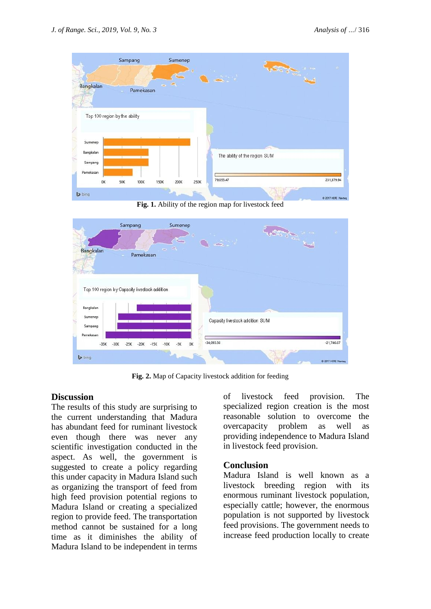

**Fig. 1.** Ability of the region map for livestock feed



**Fig. 2.** Map of Capacity livestock addition for feeding

#### **Discussion**

The results of this study are surprising to the current understanding that Madura has abundant feed for ruminant livestock even though there was never any scientific investigation conducted in the aspect. As well, the government is suggested to create a policy regarding this under capacity in Madura Island such as organizing the transport of feed from high feed provision potential regions to Madura Island or creating a specialized region to provide feed. The transportation method cannot be sustained for a long time as it diminishes the ability of Madura Island to be independent in terms

of livestock feed provision. The specialized region creation is the most reasonable solution to overcome the overcapacity problem as well as providing independence to Madura Island in livestock feed provision.

# **Conclusion**

Madura Island is well known as a livestock breeding region with its enormous ruminant livestock population, especially cattle; however, the enormous population is not supported by livestock feed provisions. The government needs to increase feed production locally to create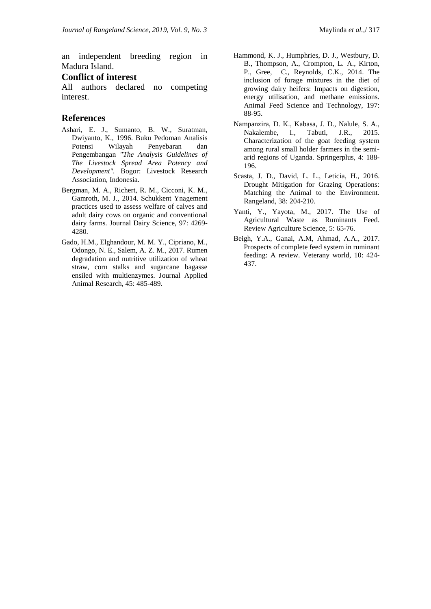an independent breeding region in Madura Island.

#### **Conflict of interest**

All authors declared no competing interest.

#### **References**

- Ashari, E. J., Sumanto, B. W., Suratman, Dwiyanto, K., 1996. Buku Pedoman Analisis Potensi Wilayah Penyebaran dan Pengembangan *"The Analysis Guidelines of The Livestock Spread Area Potency and Development".* Bogor: Livestock Research Association, Indonesia.
- Bergman, M. A., Richert, R. M., Cicconi, K. M., Gamroth, M. J., 2014. Schukkent Ynagement practices used to assess welfare of calves and adult dairy cows on organic and conventional dairy farms. Journal Dairy Science, 97: 4269- 4280.
- Gado, H.M., Elghandour, M. M. Y., Cipriano, M., Odongo, N. E., Salem, A. Z. M., 2017. Rumen degradation and nutritive utilization of wheat straw, corn stalks and sugarcane bagasse ensiled with multienzymes. Journal Applied Animal Research, 45: 485-489.
- Hammond, K. J., Humphries, D. J., Westbury, D. B., Thompson, A., Crompton, L. A., Kirton, P., Gree, C., Reynolds, C.K., 2014. The inclusion of forage mixtures in the diet of growing dairy heifers: Impacts on digestion, energy utilisation, and methane emissions. Animal Feed Science and Technology, 197: 88-95.
- Nampanzira, D. K., Kabasa, J. D., Nalule, S. A., Nakalembe, I., Tabuti, J.R., 2015. Characterization of the goat feeding system among rural small holder farmers in the semiarid regions of Uganda. Springerplus, 4: 188- 196.
- Scasta, J. D., David, L. L., Leticia, H., 2016. Drought Mitigation for Grazing Operations: Matching the Animal to the Environment. Rangeland, 38: 204-210.
- Yanti, Y., Yayota, M., 2017. The Use of Agricultural Waste as Ruminants Feed. Review Agriculture Science, 5: 65-76.
- Beigh, Y.A., Ganai, A.M, Ahmad, A.A., 2017. Prospects of complete feed system in ruminant feeding: A review. Veterany world, 10: 424- 437.